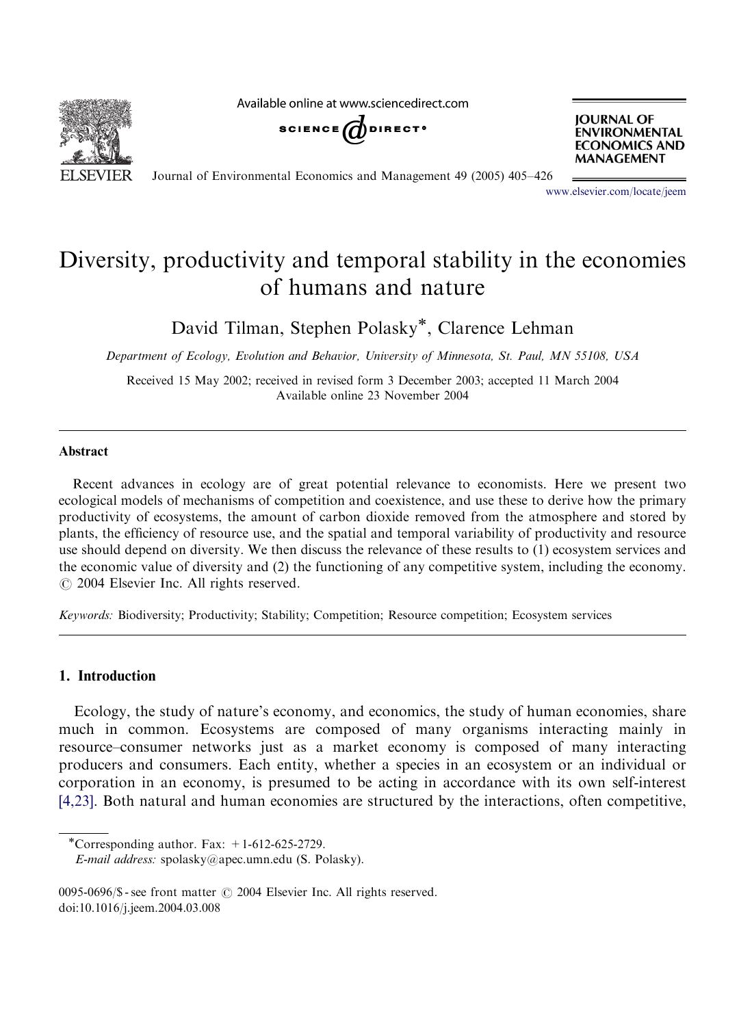SEVIER

Available online at www.sciencedirect.com



**JOURNAL OF ENVIRONMENTAL ECONOMICS AND MANAGEMENT** 

Journal of Environmental Economics and Management 49 (2005) 405–426

www.elsevier.com/locate/jeem

# Diversity, productivity and temporal stability in the economies of humans and nature

David Tilman, Stephen Polasky\*, Clarence Lehman

Department of Ecology, Evolution and Behavior, University of Minnesota, St. Paul, MN 55108, USA

Received 15 May 2002; received in revised form 3 December 2003; accepted 11 March 2004 Available online 23 November 2004

## Abstract

Recent advances in ecology are of great potential relevance to economists. Here we present two ecological models of mechanisms of competition and coexistence, and use these to derive how the primary productivity of ecosystems, the amount of carbon dioxide removed from the atmosphere and stored by plants, the efficiency of resource use, and the spatial and temporal variability of productivity and resource use should depend on diversity. We then discuss the relevance of these results to (1) ecosystem services and the economic value of diversity and (2) the functioning of any competitive system, including the economy.  $\odot$  2004 Elsevier Inc. All rights reserved.

Keywords: Biodiversity; Productivity; Stability; Competition; Resource competition; Ecosystem services

## 1. Introduction

Ecology, the study of nature's economy, and economics, the study of human economies, share much in common. Ecosystems are composed of many organisms interacting mainly in [resour](#page-19-0)ce–consumer networks just as a market economy is composed of many interacting producers and consumers. Each entity, whether a species in an ecosystem or an individual or corporation in an economy, is presumed to be acting in accordance with its own self-interest [4,23]. Both natural and human economies are structured by the interactions, often competitive,

\*Corresponding author. Fax:  $+1-612-625-2729$ .

E-mail address: spolasky@apec.umn.edu (S. Polasky).

 $0095-0696/\$ S - see front matter  $\odot$  2004 Elsevier Inc. All rights reserved. doi:10.1016/j.jeem.2004.03.008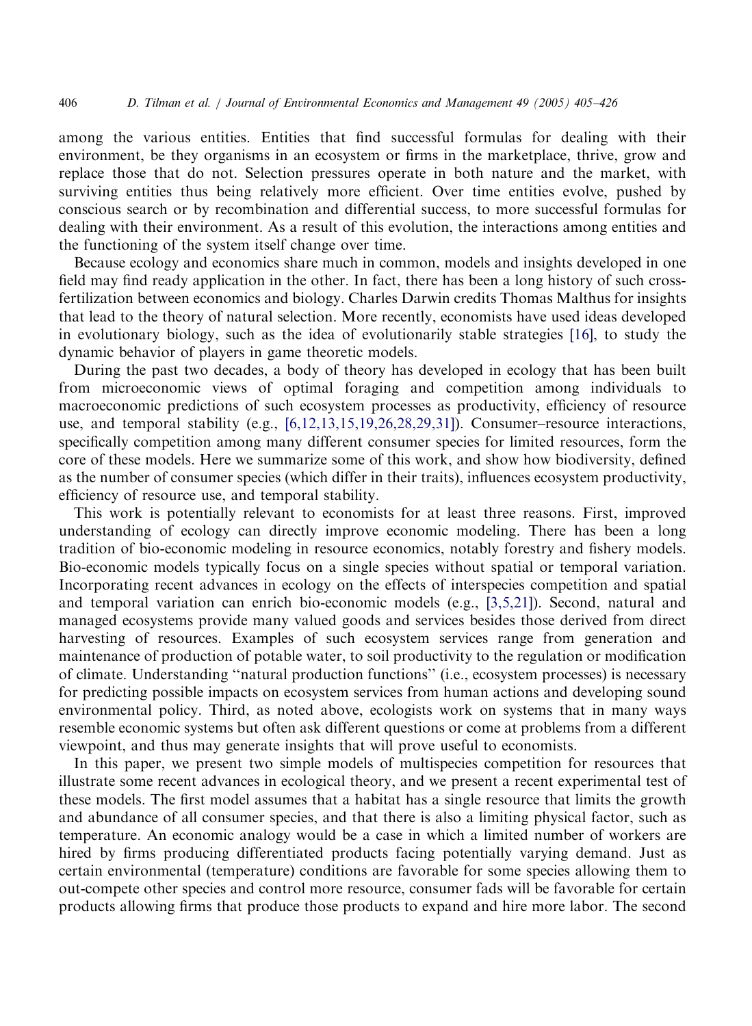among the various entities. Entities that find successful formulas for dealing with their environment, be they organisms in an ecosystem or firms in the marketplace, thrive, grow and replace those that do not. Selection pressures operate in both nature and the market, with surviving entities thus being relatively more efficient. Over time entities evolve, pushed by conscious search or by recombination and differential success, to more successful formulas for dealing with their environment. As a result of this evolution, the interactions among entities and the functioning of the system itself change over time.

Because ecology and economics share much in common, models and insights developed in one field may find ready application in the other. In fact, there has been a long his[tory](#page-20-0) of such crossfertilization between economics and biology. Charles Darwin credits Thomas Malthus for insights that lead to the theory of natural selection. More recently, economists have used ideas developed in evolutionary biology, such as the idea of evolutionarily stable strategies [16], to study the dynamic behavior of players in game theoretic models.

During the past two decades, a [body of theory has develo](#page-19-0)ped in ecology that has been built from microeconomic views of optimal foraging and competition among individuals to macroeconomic predictions of such ecosystem processes as productivity, efficiency of resource use, and temporal stability (e.g., [6,12,13,15,19,26,28,29,31]). Consumer–resource interactions, specifically competition among many different consumer species for limited resources, form the core of these models. Here we summarize some of this work, and show how biodiversity, defined as the number of consumer species (which differ in their traits), influences ecosystem productivity, efficiency of resource use, and temporal stability.

This work is potentially relevant to economists for at least three reasons. First, improved understanding of ecology can directly improve economic modeling. There has been a long tradition of bio-economic modeling in resource economics, nota[bly fores](#page-19-0)try and fishery models. Bio-economic models typically focus on a single species without spatial or temporal variation. Incorporating recent advances in ecology on the effects of interspecies competition and spatial and temporal variation can enrich bio-economic models (e.g., [3,5,21]). Second, natural and managed ecosystems provide many valued goods and services besides those derived from direct harvesting of resources. Examples of such ecosystem services range from generation and maintenance of production of potable water, to soil productivity to the regulation or modification of climate. Understanding ''natural production functions'' (i.e., ecosystem processes) is necessary for predicting possible impacts on ecosystem services from human actions and developing sound environmental policy. Third, as noted above, ecologists work on systems that in many ways resemble economic systems but often ask different questions or come at problems from a different viewpoint, and thus may generate insights that will prove useful to economists.

In this paper, we present two simple models of multispecies competition for resources that illustrate some recent advances in ecological theory, and we present a recent experimental test of these models. The first model assumes that a habitat has a single resource that limits the growth and abundance of all consumer species, and that there is also a limiting physical factor, such as temperature. An economic analogy would be a case in which a limited number of workers are hired by firms producing differentiated products facing potentially varying demand. Just as certain environmental (temperature) conditions are favorable for some species allowing them to out-compete other species and control more resource, consumer fads will be favorable for certain products allowing firms that produce those products to expand and hire more labor. The second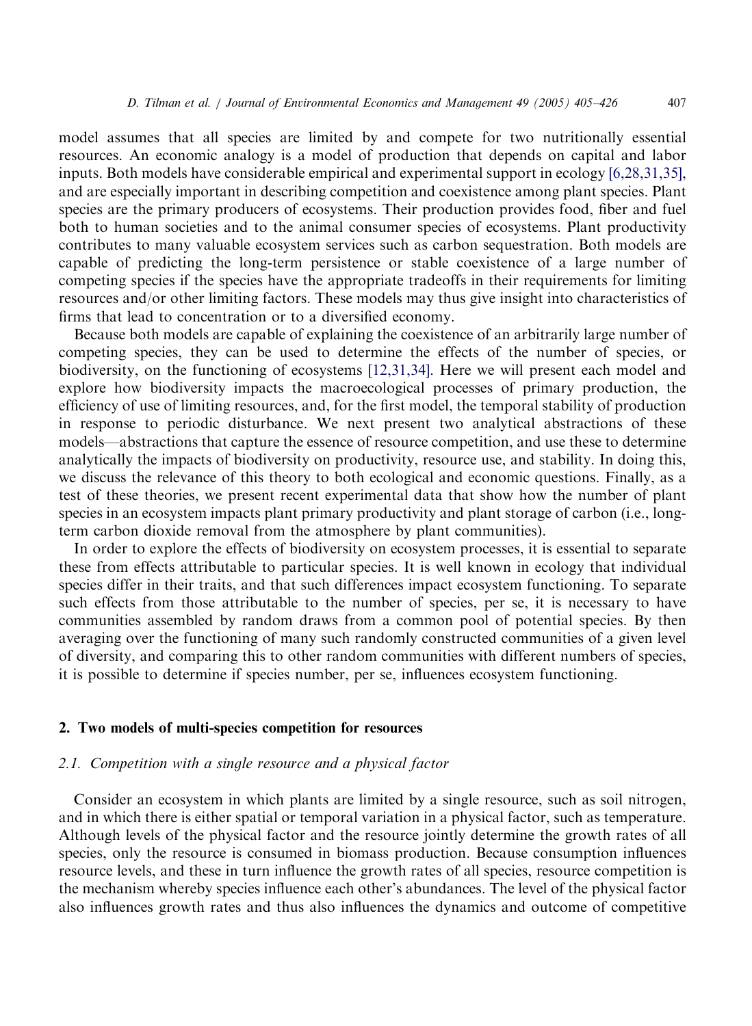model assumes that all species are limited by and compete for two nutritiona[lly](#page-19-0) [essential](#page-19-0) resources. An economic analogy is a model of production that depends on capital and labor inputs. Both models have considerable empirical and experimental support in ecology [6,28,31,35], and are especially important in describing competition and coexistence among plant species. Plant species are the primary producers of ecosystems. Their production provides food, fiber and fuel both to human societies and to the animal consumer species of ecosystems. Plant productivity contributes to many valuable ecosystem services such as carbon sequestration. Both models are capable of predicting the long-term persistence or stable coexistence of a large number of competing species if the species have the appropriate tradeoffs in their requirements for limiting resources and/or other limiting factors. These models may thus give insight into characteristics of firms that lead to concentration or to a diversi[fied econo](#page-20-0)my.

Because both models are capable of explaining the coexistence of an arbitrarily large number of competing species, they can be used to determine the effects of the number of species, or biodiversity, on the functioning of ecosystems [12,31,34]. Here we will present each model and explore how biodiversity impacts the macroecological processes of primary production, the efficiency of use of limiting resources, and, for the first model, the temporal stability of production in response to periodic disturbance. We next present two analytical abstractions of these models––abstractions that capture the essence of resource competition, and use these to determine analytically the impacts of biodiversity on productivity, resource use, and stability. In doing this, we discuss the relevance of this theory to both ecological and economic questions. Finally, as a test of these theories, we present recent experimental data that show how the number of plant species in an ecosystem impacts plant primary productivity and plant storage of carbon (i.e., longterm carbon dioxide removal from the atmosphere by plant communities).

In order to explore the effects of biodiversity on ecosystem processes, it is essential to separate these from effects attributable to particular species. It is well known in ecology that individual species differ in their traits, and that such differences impact ecosystem functioning. To separate such effects from those attributable to the number of species, per se, it is necessary to have communities assembled by random draws from a common pool of potential species. By then averaging over the functioning of many such randomly constructed communities of a given level of diversity, and comparing this to other random communities with different numbers of species, it is possible to determine if species number, per se, influences ecosystem functioning.

## 2. Two models of multi-species competition for resources

# 2.1. Competition with a single resource and a physical factor

Consider an ecosystem in which plants are limited by a single resource, such as soil nitrogen, and in which there is either spatial or temporal variation in a physical factor, such as temperature. Although levels of the physical factor and the resource jointly determine the growth rates of all species, only the resource is consumed in biomass production. Because consumption influences resource levels, and these in turn influence the growth rates of all species, resource competition is the mechanism whereby species influence each other's abundances. The level of the physical factor also influences growth rates and thus also influences the dynamics and outcome of competitive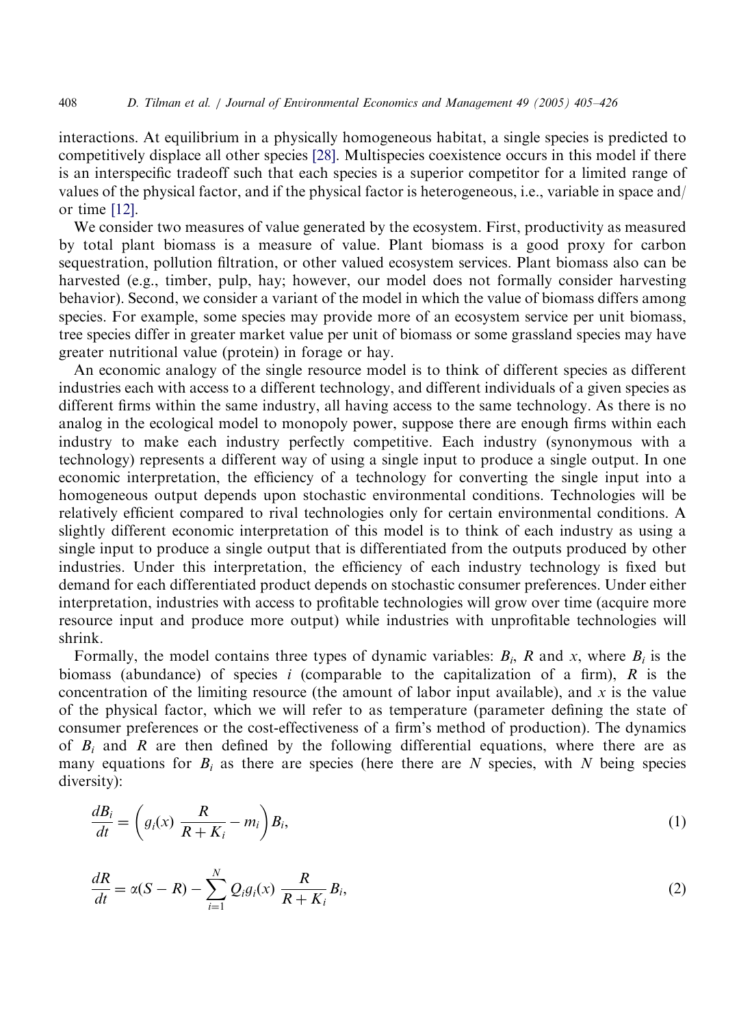interactions. At equilibrium in a physically homogeneous habitat, a single species is predicted to competi[tivel](#page-20-0)y displace all other species [28]. Multispecies coexistence occurs in this model if there is an interspecific tradeoff such that each species is a superior competitor for a limited range of values of the physical factor, and if the physical factor is heterogeneous, i.e., variable in space and/ or time [12].

We consider two measures of value generated by the ecosystem. First, productivity as measured by total plant biomass is a measure of value. Plant biomass is a good proxy for carbon sequestration, pollution filtration, or other valued ecosystem services. Plant biomass also can be harvested (e.g., timber, pulp, hay; however, our model does not formally consider harvesting behavior). Second, we consider a variant of the model in which the value of biomass differs among species. For example, some species may provide more of an ecosystem service per unit biomass, tree species differ in greater market value per unit of biomass or some grassland species may have greater nutritional value (protein) in forage or hay.

An economic analogy of the single resource model is to think of different species as different industries each with access to a different technology, and different individuals of a given species as different firms within the same industry, all having access to the same technology. As there is no analog in the ecological model to monopoly power, suppose there are enough firms within each industry to make each industry perfectly competitive. Each industry (synonymous with a technology) represents a different way of using a single input to produce a single output. In one economic interpretation, the efficiency of a technology for converting the single input into a homogeneous output depends upon stochastic environmental conditions. Technologies will be relatively efficient compared to rival technologies only for certain environmental conditions. A slightly different economic interpretation of this model is to think of each industry as using a single input to produce a single output that is differentiated from the outputs produced by other industries. Under this interpretation, the efficiency of each industry technology is fixed but demand for each differentiated product depends on stochastic consumer preferences. Under either interpretation, industries with access to profitable technologies will grow over time (acquire more resource input and produce more output) while industries with unprofitable technologies will shrink.

Formally, the model contains three types of dynamic variables:  $B_i$ , R and x, where  $B_i$  is the biomass (abundance) of species  $i$  (comparable to the capitalization of a firm),  $R$  is the concentration of the limiting resource (the amount of labor input available), and  $x$  is the value of the physical factor, which we will refer to as temperature (parameter defining the state of consumer preferences or the cost-effectiveness of a firm's method of production). The dynamics of  $B_i$  and R are then defined by the following differential equations, where there are as many equations for  $B_i$  as there are species (here there are N species, with N being species diversity):

$$
\frac{dB_i}{dt} = \left(g_i(x)\frac{R}{R+K_i} - m_i\right)B_i,\tag{1}
$$

$$
\frac{dR}{dt} = \alpha(S - R) - \sum_{i=1}^{N} Q_i g_i(x) \frac{R}{R + K_i} B_i,
$$
\n(2)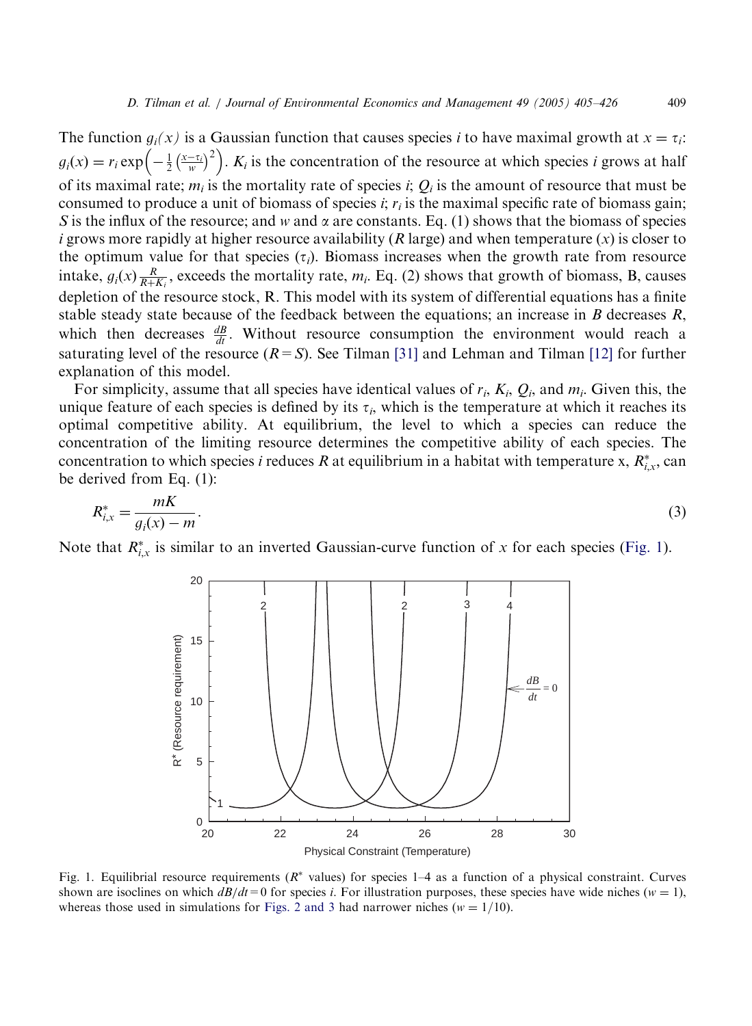The function  $g_i(x)$  is a Gaussian function that causes species *i* to have maximal growth at  $x = \tau_i$ :  $g_i(x) = r_i \exp\left(-\frac{1}{2} \left(\frac{x-\tau_i}{w}\right)^2\right)$ .  $K_i$  is the concentration of the resource at which species *i* grows at half of its maximal rate;  $m_i$  is the mortality rate of species i;  $Q_i$  is the amount of resource that must be consumed to produce a unit of biomass of species  $i; r_i$  is the maximal specific rate of biomass gain; S is the influx of the resource; and w and  $\alpha$  are constants. Eq. (1) shows that the biomass of species i grows more rapidly at higher resource availability ( $R$  large) and when temperature  $(x)$  is closer to the optimum value for that species  $(\tau_i)$ . Biomass increases when the growth rate from resource intake,  $g_i(x) \frac{R}{R+K_i}$ , exceeds the mortality rate,  $m_i$ . Eq. (2) shows that growth of biomass, B, causes depletion of the resource stock, R. This model with [its sy](#page-20-0)stem of differential equat[ions](#page-20-0) has a finite stable steady state because of the feedback between the equations; an increase in  $B$  decreases  $R$ , which then decreases  $\frac{dB}{dt}$ . Without resource consumption the environment would reach a saturating level of the resource  $(R = S)$ . See Tilman [31] and Lehman and Tilman [12] for further explanation of this model.

For simplicity, assume that all species have identical values of  $r_i$ ,  $K_i$ ,  $Q_i$ , and  $m_i$ . Given this, the unique feature of each species is defined by its  $\tau_i$ , which is the temperature at which it reaches its optimal competitive ability. At equilibrium, the level to which a species can reduce the concentration of the limiting resource determines the competitive ability of each species. The concentration to which species *i* reduces R at equilibrium in a habitat with temperature x,  $R^*_{i,x}$ , can be derived from Eq. (1):

$$
R_{i,x}^* = \frac{mK}{g_i(x) - m}.
$$
 (3)

Note that  $R_{i,x}^*$  is similar to an inverted Gaussian-curve function of x for each species (Fig. 1).



Fig. 1. Equilibrial resource requirements  $(R^*$  values) for species 1–4 as a function of a physical constraint. Curves shown are isoclines on which  $dB/dt=0$  for species i. For illustration purposes, these species have wide niches ( $w = 1$ ), whereas those used in simulations for Figs. 2 and 3 had narrower niches ( $w = 1/10$ ).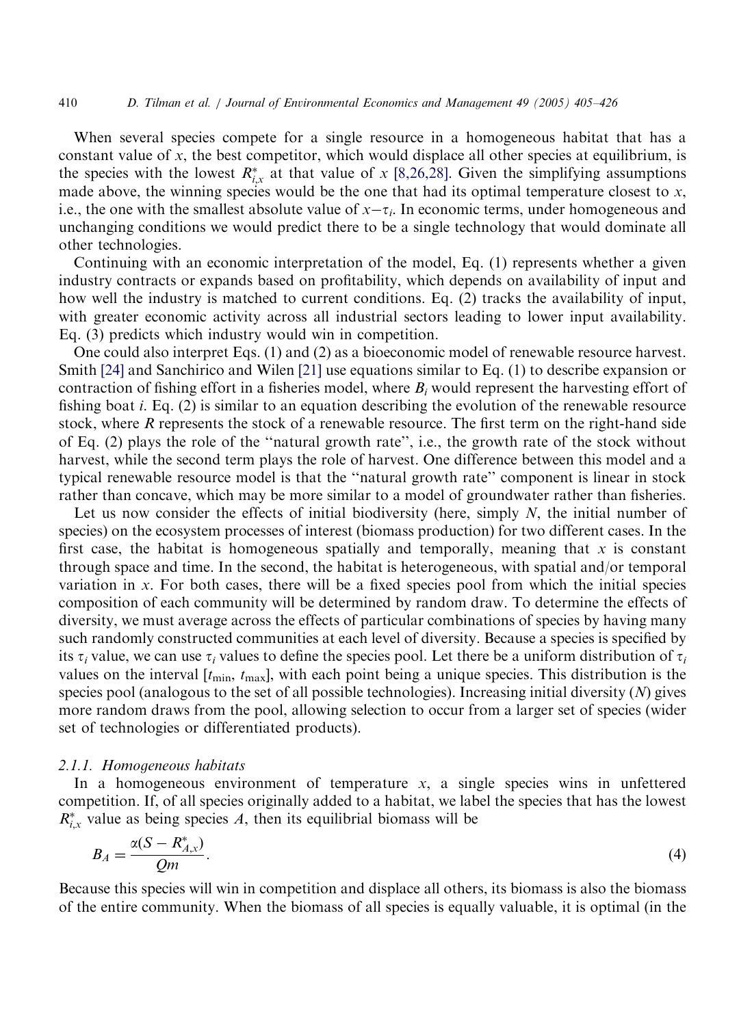When several species compete for a single res[ource](#page-20-0) [in](#page-20-0) a homogeneous habitat that has a constant value of x, the best competitor, which would displace all other species at equilibrium, is the species with the lowest  $R_{i,x}^*$  at that value of x [8,26,28]. Given the simplifying assumptions made above, the winning species would be the one that had its optimal temperature closest to  $x$ , i.e., the one with the smallest absolute value of  $x-\tau_i$ . In economic terms, under homogeneous and unchanging conditions we would predict there to be a single technology that would dominate all other technologies.

Continuing with an economic interpretation of the model, Eq. (1) represents whether a given industry contracts or expands based on profitability, which depends on availability of input and how well the industry is matched to current conditions. Eq. (2) tracks the availability of input, with [great](#page-20-0)er economic activity acro[ss al](#page-20-0)l industrial sectors leading to lower input availability. Eq. (3) predicts which industry would win in competition.

One could also interpret Eqs. (1) and (2) as a bioeconomic model of renewable resource harvest. Smith [24] and Sanchirico and Wilen [21] use equations similar to Eq. (1) to describe expansion or contraction of fishing effort in a fisheries model, where  $B_i$  would represent the harvesting effort of fishing boat i. Eq. (2) is similar to an equation describing the evolution of the renewable resource stock, where  $R$  represents the stock of a renewable resource. The first term on the right-hand side of Eq. (2) plays the role of the ''natural growth rate'', i.e., the growth rate of the stock without harvest, while the second term plays the role of harvest. One difference between this model and a typical renewable resource model is that the ''natural growth rate'' component is linear in stock rather than concave, which may be more similar to a model of groundwater rather than fisheries.

Let us now consider the effects of initial biodiversity (here, simply  $N$ , the initial number of species) on the ecosystem processes of interest (biomass production) for two different cases. In the first case, the habitat is homogeneous spatially and temporally, meaning that  $x$  is constant through space and time. In the second, the habitat is heterogeneous, with spatial and/or temporal variation in x. For both cases, there will be a fixed species pool from which the initial species composition of each community will be determined by random draw. To determine the effects of diversity, we must average across the effects of particular combinations of species by having many such randomly constructed communities at each level of diversity. Because a species is specified by its  $\tau_i$  value, we can use  $\tau_i$  values to define the species pool. Let there be a uniform distribution of  $\tau_i$ values on the interval  $[t_{\min}, t_{\max}]$ , with each point being a unique species. This distribution is the species pool (analogous to the set of all possible technologies). Increasing initial diversity  $(N)$  gives more random draws from the pool, allowing selection to occur from a larger set of species (wider set of technologies or differentiated products).

## 2.1.1. Homogeneous habitats

In a homogeneous environment of temperature  $x$ , a single species wins in unfettered competition. If, of all species originally added to a habitat, we label the species that has the lowest  $R_{i,x}^*$  value as being species A, then its equilibrial biomass will be

$$
B_A = \frac{\alpha (S - R_{A,x}^*)}{Qm}.
$$
\n<sup>(4)</sup>

Because this species will win in competition and displace all others, its biomass is also the biomass of the entire community. When the biomass of all species is equally valuable, it is optimal (in the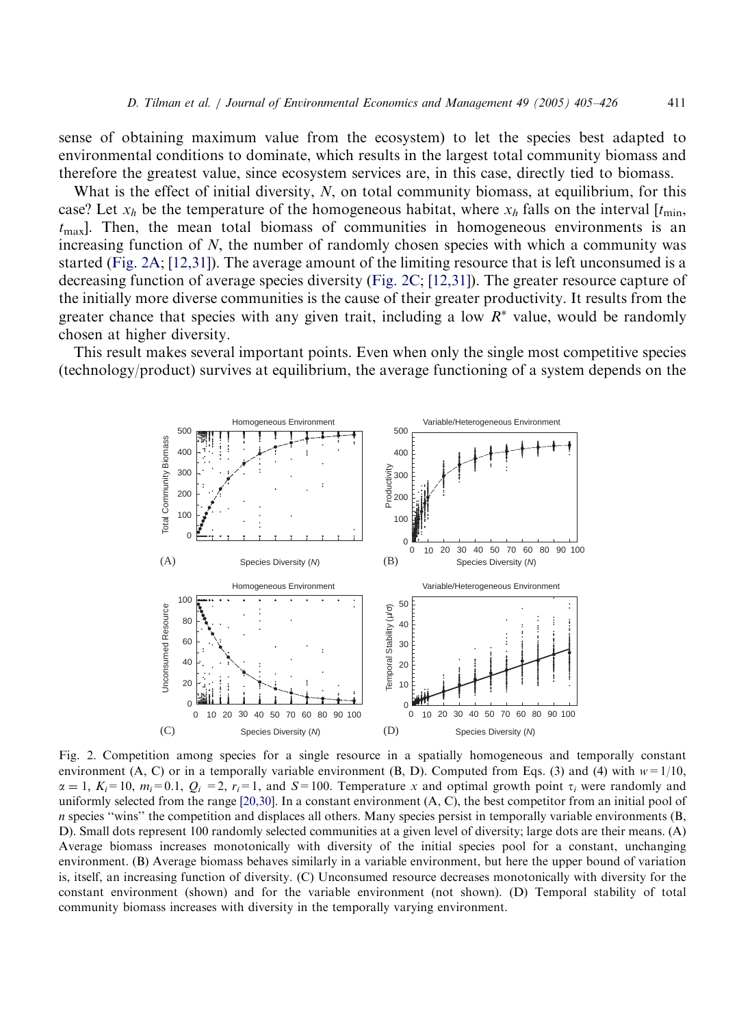<span id="page-6-0"></span>sense of obtaining maximum value from the ecosystem) to let the species best adapted to environmental conditions to dominate, which results in the largest total community biomass and therefore the greatest value, since ecosystem services are, in this case, directly tied to biomass.

What is the effect of initial diversity,  $N$ , on total community biomass, at equilibrium, for this case? Let  $x_h$  be t[he temp](#page-20-0)erature of the homogeneous habitat, where  $x_h$  falls on the interval  $[t_{\min},$  $t_{\text{max}}$ . Then, the mean total biomass of communities [in ho](#page-20-0)mogeneous environments is an increasing function of  $N$ , the number of randomly chosen species with which a community was started (Fig. 2A; [12,31]). The average amount of the limiting resource that is left unconsumed is a decreasing function of average species diversity (Fig. 2C; [12,31]). The greater resource capture of the initially more diverse communities is the cause of their greater productivity. It results from the greater chance that species with any given trait, including a low  $R^*$  value, would be randomly chosen at higher diversity.

This result makes several important points. Even when only the single most competitive species (technology/product) survives at equilibrium, the average functioning of a system depends on the



Fig. 2. Competition among spe[cies](#page-20-0) [for](#page-20-0) a single resource in a spatially homogeneous and temporally constant environment (A, C) or in a temporally variable environment (B, D). Computed from Eqs. (3) and (4) with  $w=1/10$ ,  $\alpha = 1, K_i = 10, m_i = 0.1, Q_i = 2, r_i = 1,$  and  $S = 100$ . Temperature x and optimal growth point  $\tau_i$  were randomly and uniformly selected from the range [20,30]. In a constant environment (A, C), the best competitor from an initial pool of n species ''wins'' the competition and displaces all others. Many species persist in temporally variable environments (B, D). Small dots represent 100 randomly selected communities at a given level of diversity; large dots are their means. (A) Average biomass increases monotonically with diversity of the initial species pool for a constant, unchanging environment. (B) Average biomass behaves similarly in a variable environment, but here the upper bound of variation is, itself, an increasing function of diversity. (C) Unconsumed resource decreases monotonically with diversity for the constant environment (shown) and for the variable environment (not shown). (D) Temporal stability of total community biomass increases with diversity in the temporally varying environment.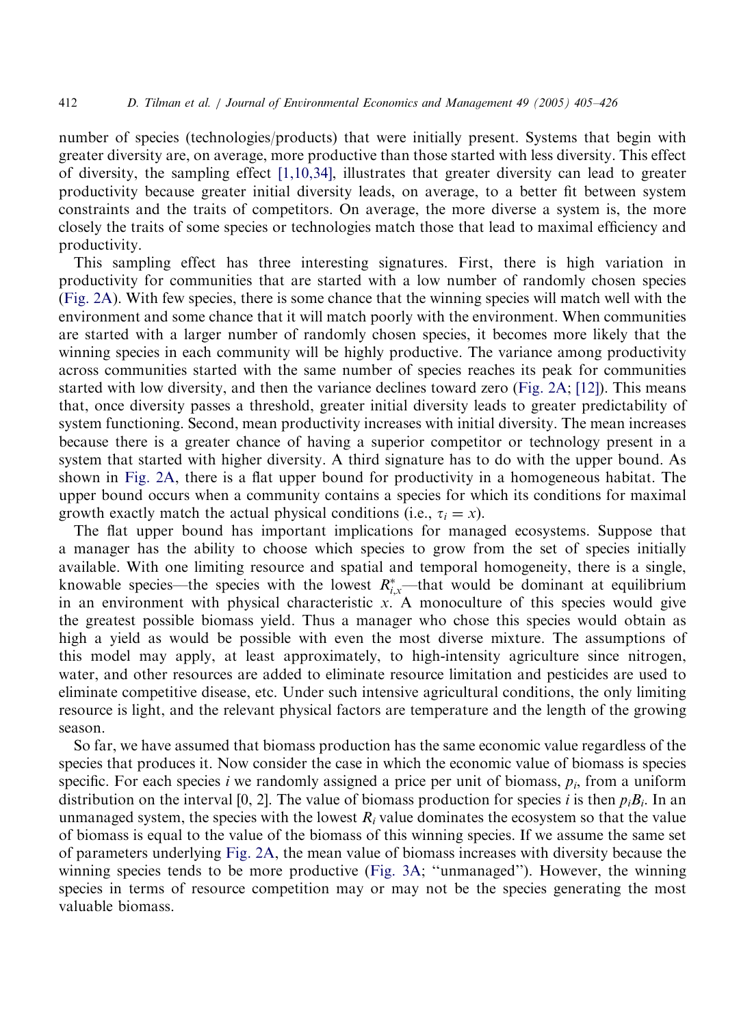number of species (technologies/[products\)](#page-19-0) that were initially present. Systems that begin with greater diversity are, on average, more productive than those started with less diversity. This effect of diversity, the sampling effect [1,10,34], illustrates that greater diversity can lead to greater productivity because greater initial diversity leads, on average, to a better fit between system constraints and the traits of competitors. On average, the more diverse a system is, the more closely the traits of some species or technologies match those that lead to maximal efficiency and [producti](#page-6-0)vity.

This sampling effect has three interesting signatures. First, there is high variation in productivity for communities that are started with a low number of randomly chosen species (Fig. 2A). With few species, there is some chance that the winning species will match well with the environment and some chance that it will match poorly with the environment. When communities are started with a larger number of randomly chosen species, it bec[omes mo](#page-6-0)[re li](#page-20-0)kely that the winning species in each community will be highly productive. The variance among productivity across communities started with the same number of species reaches its peak for communities started with low diversity, and then the variance declines toward zero (Fig. 2A; [12]). This means that, once diversity passes a threshold, greater initial diversity leads to greater predictability of system fu[nctioning](#page-6-0). Second, mean productivity increases with initial diversity. The mean increases because there is a greater chance of having a superior competitor or technology present in a system that started with higher diversity. A third signature has to do with the upper bound. As shown in Fig. 2A, there is a flat upper bound for productivity in a homogeneous habitat. The upper bound occurs when a community contains a species for which its conditions for maximal growth exactly match the actual physical conditions (i.e.,  $\tau_i = x$ ).

The flat upper bound has important implications for managed ecosystems. Suppose that a manager has the ability to choose which species to grow from the set of species initially available. With one limiting resource and spatial and temporal homogeneity, there is a single, knowable species—the species with the lowest  $R^*_{i,x}$ —that would be dominant at equilibrium in an environment with physical characteristic  $x$ . A monoculture of this species would give the greatest possible biomass yield. Thus a manager who chose this species would obtain as high a yield as would be possible with even the most diverse mixture. The assumptions of this model may apply, at least approximately, to high-intensity agriculture since nitrogen, water, and other resources are added to eliminate resource limitation and pesticides are used to eliminate competitive disease, etc. Under such intensive agricultural conditions, the only limiting resource is light, and the relevant physical factors are temperature and the length of the growing season.

So far, we have assumed that biomass production has the same economic value regardless of the species that produces it. Now consider the case in which the economic value of biomass is species specific. For each species i we randomly assigned a price per unit of biomass,  $p_i$ , from a uniform distribution on the interv[al \[0, 2\].](#page-6-0) The value of biomass production for species i is then  $p_iB_i$ . In an unmanaged system, the species with the lowest  $R_i$  [value d](#page-8-0)ominates the ecosystem so that the value of biomass is equal to the value of the biomass of this winning species. If we assume the same set of parameters underlying Fig. 2A, the mean value of biomass increases with diversity because the winning species tends to be more productive (Fig. 3A; ''unmanaged''). However, the winning species in terms of resource competition may or may not be the species generating the most valuable biomass.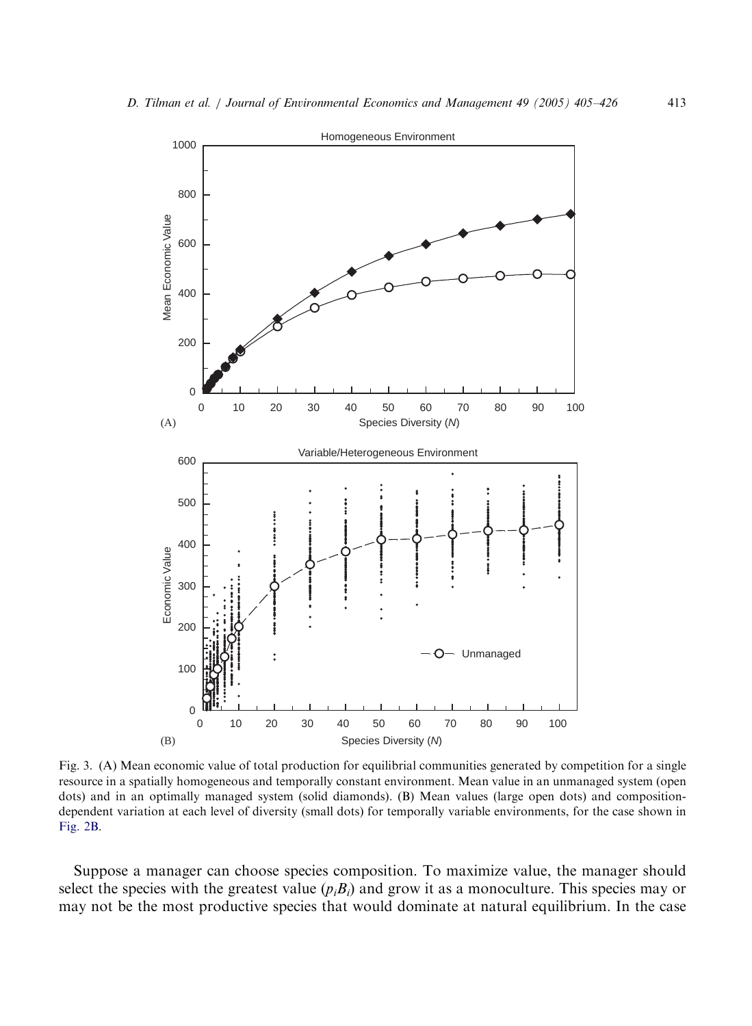<span id="page-8-0"></span>

Fig. 3. (A) Mean economic value of total production for equilibrial communities generated by competition for a single [resource](#page-6-0) in a spatially homogeneous and temporally constant environment. Mean value in an unmanaged system (open dots) and in an optimally managed system (solid diamonds). (B) Mean values (large open dots) and compositiondependent variation at each level of diversity (small dots) for temporally variable environments, for the case shown in Fig. 2B.

Suppose a manager can choose species composition. To maximize value, the manager should select the species with the greatest value  $(p_i, B_i)$  and grow it as a monoculture. This species may or may not be the most productive species that would dominate at natural equilibrium. In the case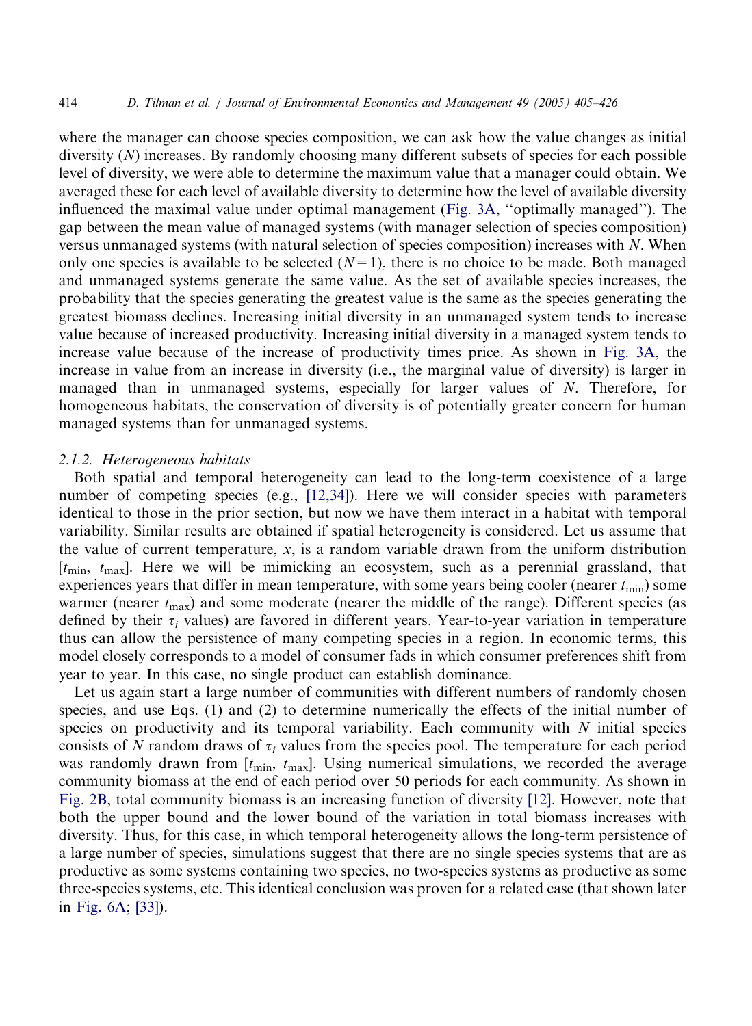where the manager can choose species composition, we can ask how the value changes as initial diversity  $(N)$  increases. By randomly choosing many differe[nt subse](#page-8-0)ts of species for each possible level of diversity, we were able to determine the maximum value that a manager could obtain. We averaged these for each level of available diversity to determine how the level of available diversity influenced the maximal value under optimal management (Fig. 3A, ''optimally managed''). The gap between the mean value of managed systems (with manager selection of species composition) versus unmanaged systems (with natural selection of species composition) increases with N. When only one species is available to be selected  $(N=1)$ , there is no choice to be made. Both managed and unmanaged systems generate the same value. As the set of available species increases, the probability that the species generating the greatest value is the same as the species g[enerating](#page-8-0) the greatest biomass declines. Increasing initial diversity in an unmanaged system tends to increase value because of increased productivity. Increasing initial diversity in a managed system tends to increase value because of the increase of productivity times price. As shown in Fig. 3A, the increase in value from an increase in diversity (i.e., the marginal value of diversity) is larger in managed than in unmanaged systems, especially for larger values of N. Therefore, for homogeneous habitats, the conservation of diversity is of potentially greater concern for human managed systems than for unmanaged systems.

## 2.1.2. Heterogeneous habitats

Both spatial and temporal heterogeneity can lead to the long-term coexistence of a large number of competing species (e.g., [12,34]). Here we will consider species with parameters identical to those in the prior section, but now we have them interact in a habitat with temporal variability. Similar results are obtained if spatial heterogeneity is considered. Let us assume that the value of current temperature,  $x$ , is a random variable drawn from the uniform distribution  $[t_{\min}, t_{\max}]$ . Here we will be mimicking an ecosystem, such as a perennial grassland, that experiences years that differ in mean temperature, with some years being cooler (nearer  $t_{\text{min}}$ ) some warmer (nearer  $t_{\text{max}}$ ) and some moderate (nearer the middle of the range). Different species (as defined by their  $\tau_i$  values) are favored in different years. Year-to-year variation in temperature thus can allow the persistence of many competing species in a region. In economic terms, this model closely corresponds to a model of consumer fads in which consumer preferences shift from year to year. In this case, no single product can establish dominance.

Let us again start a large number of communities with different numbers of randomly chosen species, and use Eqs. (1) and (2) to determine numerically the effects of the initial number of species on productivity and its temporal variability. Each community with  $N$  initial species [consists](#page-6-0) of N random draws of  $\tau_i$  values from the species pool. The tem[pera](#page-20-0)ture for each period was randomly drawn from  $[t_{\min}, t_{\max}]$ . Using numerical simulations, we recorded the average community biomass at the end of each period over 50 periods for each community. As shown in Fig. 2B, total community biomass is an increasing function of diversity [12]. However, note that both the upper bound and the lower bound of the variation in total biomass increases with diversity. Thus, for this case, in which temporal heterogeneity allows the long-term persistence of a l[arge num](#page-16-0)[ber](#page-20-0) of species, simulations suggest that there are no single species systems that are as productive as some systems containing two species, no two-species systems as productive as some three-species systems, etc. This identical conclusion was proven for a related case (that shown later in Fig. 6A; [33]).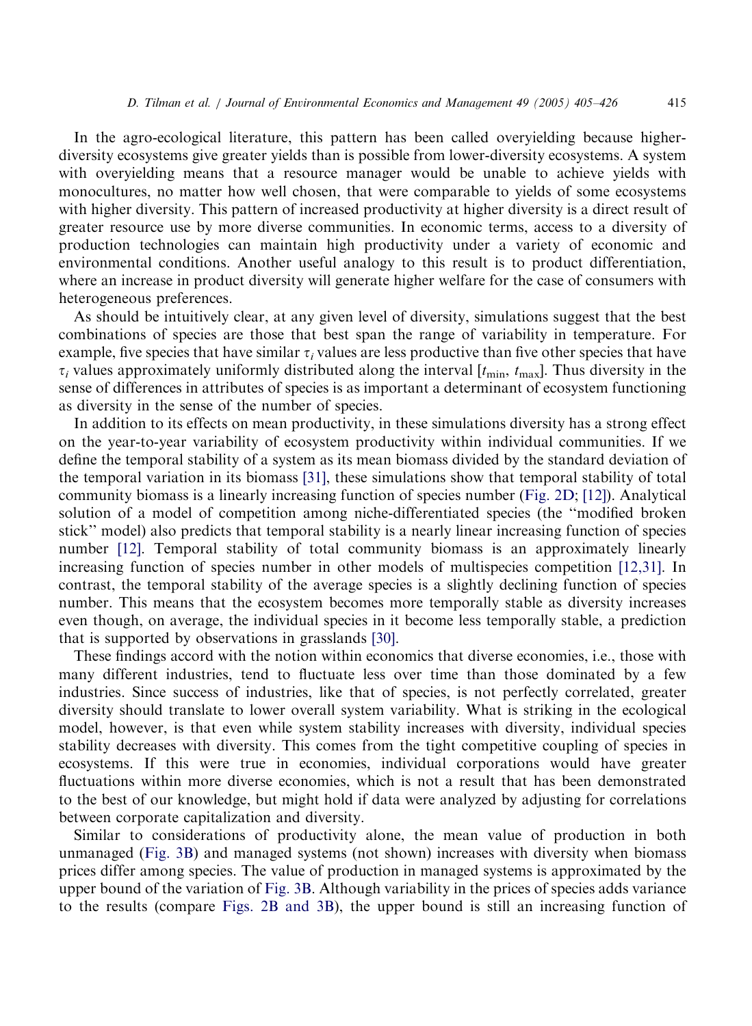In the agro-ecological literature, this pattern has been called overyielding because higherdiversity ecosystems give greater yields than is possible from lower-diversity ecosystems. A system with overyielding means that a resource manager would be unable to achieve yields with monocultures, no matter how well chosen, that were comparable to yields of some ecosystems with higher diversity. This pattern of increased productivity at higher diversity is a direct result of greater resource use by more diverse communities. In economic terms, access to a diversity of production technologies can maintain high productivity under a variety of economic and environmental conditions. Another useful analogy to this result is to product differentiation, where an increase in product diversity will generate higher welfare for the case of consumers with heterogeneous preferences.

As should be intuitively clear, at any given level of diversity, simulations suggest that the best combinations of species are those that best span the range of variability in temperature. For example, five species that have similar  $\tau_i$  values are less productive than five other species that have  $\tau_i$  values approximately uniformly distributed along the interval  $[t_{\min}, t_{\max}]$ . Thus diversity in the sense of differences in attributes of species is as important a determinant of ecosystem functioning as diversity in the sense of the number of species.

In addition to its effects on mean p[rodu](#page-20-0)ctivity, in these simulations diversity has a strong effect on the year-to-year variability of ecosystem productivity within indivi[dual co](#page-6-0)[mmu](#page-20-0)nities. If we define the temporal stability of a system as its mean biomass divided by the standard deviation of the temporal variation in its biomass [31], these simulations show that temporal stability of total commun[ity b](#page-20-0)iomass is a linearly increasing function of species number (Fig. 2D; [12]). Analytical solution of a model of competition among niche-differentiated species (the ''modifi[ed bro](#page-20-0)ken stick'' model) also predicts that temporal stability is a nearly linear increasing function of species number [12]. Temporal stability of total community biomass is an approximately linearly increasing function of species number in other models of multispecies competition [12,31]. In contrast, the temporal stability of the average [spec](#page-20-0)ies is a slightly declining function of species number. This means that the ecosystem becomes more temporally stable as diversity increases even though, on average, the individual species in it become less temporally stable, a prediction that is supported by observations in grasslands [30].

These findings accord with the notion within economics that diverse economies, i.e., those with many different industries, tend to fluctuate less over time than those dominated by a few industries. Since success of industries, like that of species, is not perfectly correlated, greater diversity should translate to lower overall system variability. What is striking in the ecological model, however, is that even while system stability increases with diversity, individual species stability decreases with diversity. This comes from the tight competitive coupling of species in ecosystems. If this were true in economies, individual corporations would have greater fluctuations within more diverse economies, which is not a result that has been demonstrated to the best o[f our kn](#page-8-0)owledge, but might hold if data were analyzed by adjusting for correlations between corporate capitalization and diversity.

Similar to considerations o[f produ](#page-8-0)ctivity alone, the mean value of production in both unmanaged (Fig. 3B) an[d managed system](#page-6-0)s (not shown) increases with diversity when biomass prices differ among species. The value of production in managed systems is approximated by the upper bound of the variation of Fig. 3B. Although variability in the prices of species adds variance to the results (compare Figs. 2B and 3B), the upper bound is still an increasing function of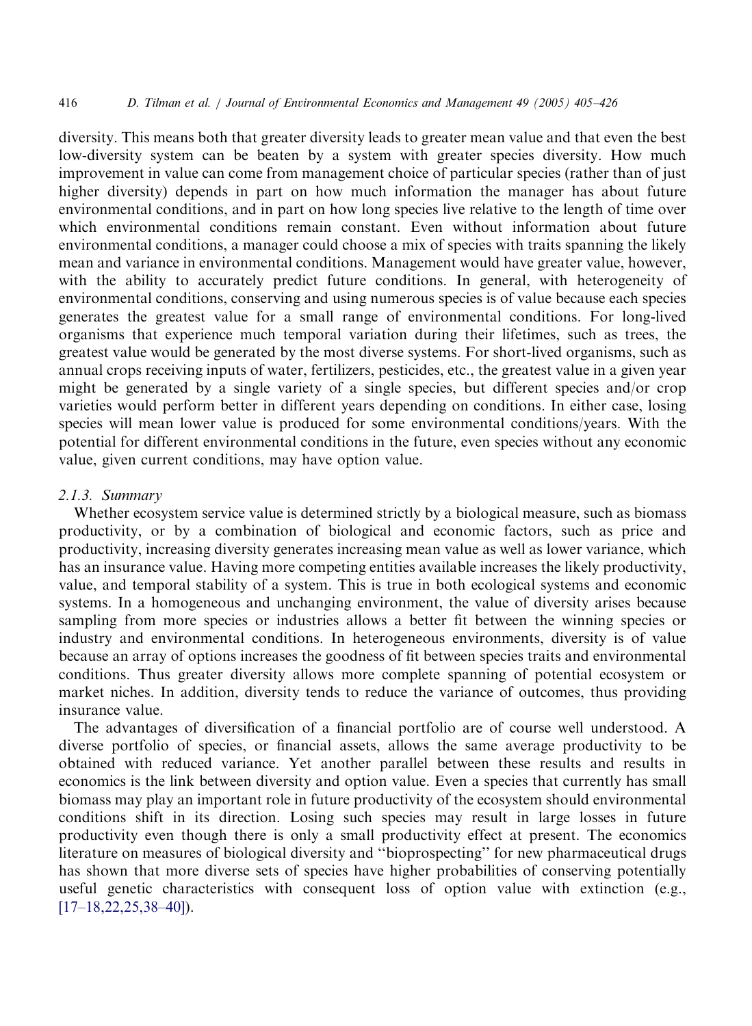diversity. This means both that greater diversity leads to greater mean value and that even the best low-diversity system can be beaten by a system with greater species diversity. How much improvement in value can come from management choice of particular species (rather than of just higher diversity) depends in part on how much information the manager has about future environmental conditions, and in part on how long species live relative to the length of time over which environmental conditions remain constant. Even without information about future environmental conditions, a manager could choose a mix of species with traits spanning the likely mean and variance in environmental conditions. Management would have greater value, however, with the ability to accurately predict future conditions. In general, with heterogeneity of environmental conditions, conserving and using numerous species is of value because each species generates the greatest value for a small range of environmental conditions. For long-lived organisms that experience much temporal variation during their lifetimes, such as trees, the greatest value would be generated by the most diverse systems. For short-lived organisms, such as annual crops receiving inputs of water, fertilizers, pesticides, etc., the greatest value in a given year might be generated by a single variety of a single species, but different species and/or crop varieties would perform better in different years depending on conditions. In either case, losing species will mean lower value is produced for some environmental conditions/years. With the potential for different environmental conditions in the future, even species without any economic value, given current conditions, may have option value.

## 2.1.3. Summary

Whether ecosystem service value is determined strictly by a biological measure, such as biomass productivity, or by a combination of biological and economic factors, such as price and productivity, increasing diversity generates increasing mean value as well as lower variance, which has an insurance value. Having more competing entities available increases the likely productivity, value, and temporal stability of a system. This is true in both ecological systems and economic systems. In a homogeneous and unchanging environment, the value of diversity arises because sampling from more species or industries allows a better fit between the winning species or industry and environmental conditions. In heterogeneous environments, diversity is of value because an array of options increases the goodness of fit between species traits and environmental conditions. Thus greater diversity allows more complete spanning of potential ecosystem or market niches. In addition, diversity tends to reduce the variance of outcomes, thus providing insurance value.

The advantages of diversification of a financial portfolio are of course well understood. A diverse portfolio of species, or financial assets, allows the same average productivity to be obtained with reduced variance. Yet another parallel between these results and results in economics is the link between diversity and option value. Even a species that currently has small biomass may play an important role in future productivity of the ecosystem should environmental conditions shift in its direction. Losing such species may result in large losses in future productivity even though there is only a small productivity effect at present. The economics [literature on measur](#page-20-0)es of biological diversity and ''bioprospecting'' for new pharmaceutical drugs has shown that more diverse sets of species have higher probabilities of conserving potentially useful genetic characteristics with consequent loss of option value with extinction (e.g.,  $[17–18,22,25,38–40]$ .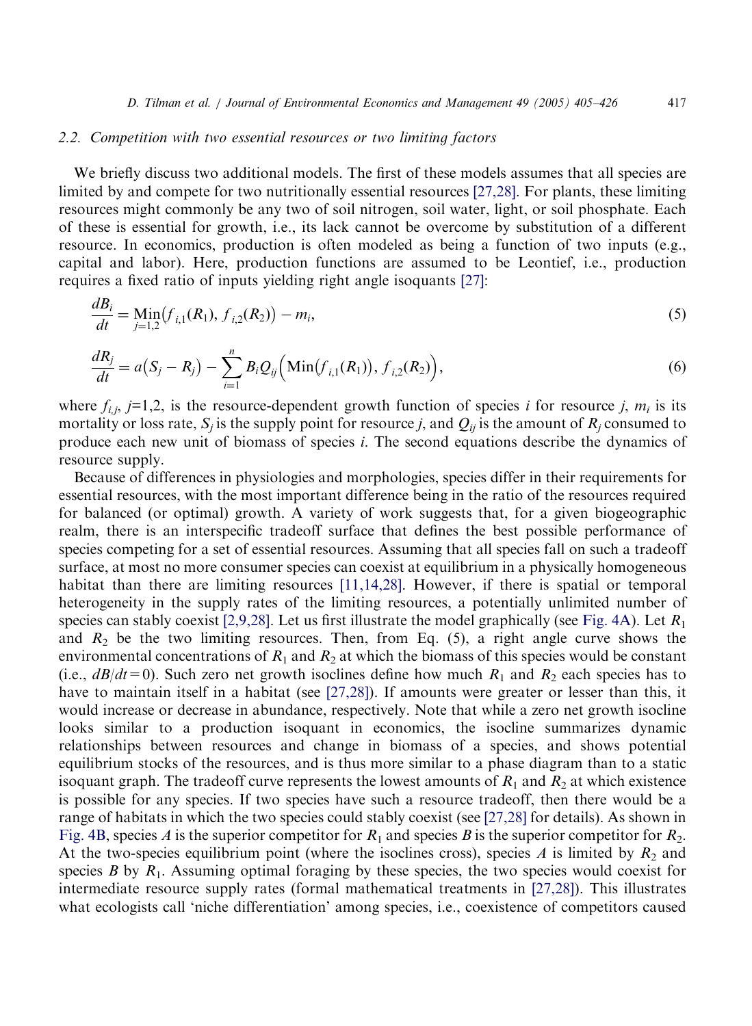## 2.2. Competition with two essential resources or two limiting fac[tors](#page-20-0)

We briefly discuss two additional models. The first of these models assumes that all species are limited by and compete for two nutritionally essential resources [27,28]. For plants, these limiting resources might commonly be any two of soil nitrogen, soil water, light, or soil phosphate. Each of these is essential for growth, i.e., its lack cannot be overc[ome](#page-20-0) by substitution of a different resource. In economics, production is often modeled as being a function of two inputs (e.g., capital and labor). Here, production functions are assumed to be Leontief, i.e., production requires a fixed ratio of inputs yielding right angle isoquants [27]:

$$
\frac{dB_i}{dt} = \min_{j=1,2} (f_{i,1}(R_1), f_{i,2}(R_2)) - m_i,
$$
\n(5)

$$
\frac{dR_j}{dt} = a(S_j - R_j) - \sum_{i=1}^n B_i Q_{ij} \Big( \text{Min}(f_{i,1}(R_1)), f_{i,2}(R_2) \Big),\tag{6}
$$

where  $f_{i,j}$ , j=1,2, is the resource-dependent growth function of species i for resource j,  $m_i$  is its mortality or loss rate,  $S_i$  is the supply point for resource j, and  $Q_{ij}$  is the amount of  $R_j$  consumed to produce each new unit of biomass of species i. The second equations describe the dynamics of resource supply.

Because of differences in physiologies and morphologies, species differ in their requirements for essential resources, with the most important difference being in the ratio of the resources required for balanced (or optimal) growth. A variety of work suggests that, for a given biogeographic realm, there is an interspecific tradeoff s[urface tha](#page-20-0)t defines the best possible performance of species competing for a set of essential resources. Assuming that all species fall on such a tradeoff surface, at most no more [consum](#page-19-0)er species can coexist at equilibrium in a physica[lly homo](#page-13-0)geneous habitat than there are limiting resources [11,14,28]. However, if there is spatial or temporal heterogeneity in the supply rates of the limiting resources, a potentially unlimited number of species can stably coexist [2,9,28]. Let us first illustrate the model graphically (see Fig. 4A). Let  $R_1$ and  $R_2$  be the two limiting resources. [Then,](#page-20-0) from Eq. (5), a right angle curve shows the environmental concentrations of  $R_1$  and  $R_2$  at which the biomass of this species would be constant (i.e.,  $dB/dt=0$ ). Such zero net growth isoclines define how much  $R_1$  and  $R_2$  each species has to have to maintain itself in a habitat (see [27,28]). If amounts were greater or lesser than this, it would increase or decrease in abundance, respectively. Note that while a zero net growth isocline looks similar to a production isoquant in economics, the isocline summarizes dynamic relationships between resources and change in biomass of a species, and shows potential equilibrium stocks of the resources, and is thus more similar to a [phase](#page-20-0) diagram than to a static [isoquan](#page-13-0)t graph. The tradeoff curve represents the lowest amounts of  $R_1$  and  $R_2$  at which existence is possible for any species. If two species have such a resource tradeoff, then there would be a range of habitats in which the two species could stably coexist (see [27,28] for details). As shown in Fig. 4B, species A is the su[perior c](#page-20-0)ompetitor for  $R_1$  and species B is the superior competitor for  $R_2$ . At the two-species equilibrium point (where the isoclines cross), species  $A$  is limited by  $R_2$  and species B by  $R_1$ . Assuming optimal foraging by these species, the two species would coexist for intermediate resource supply rates (formal mathematical treatments in [27,28]). This illustrates what ecologists call 'niche differentiation' among species, i.e., coexistence of competitors caused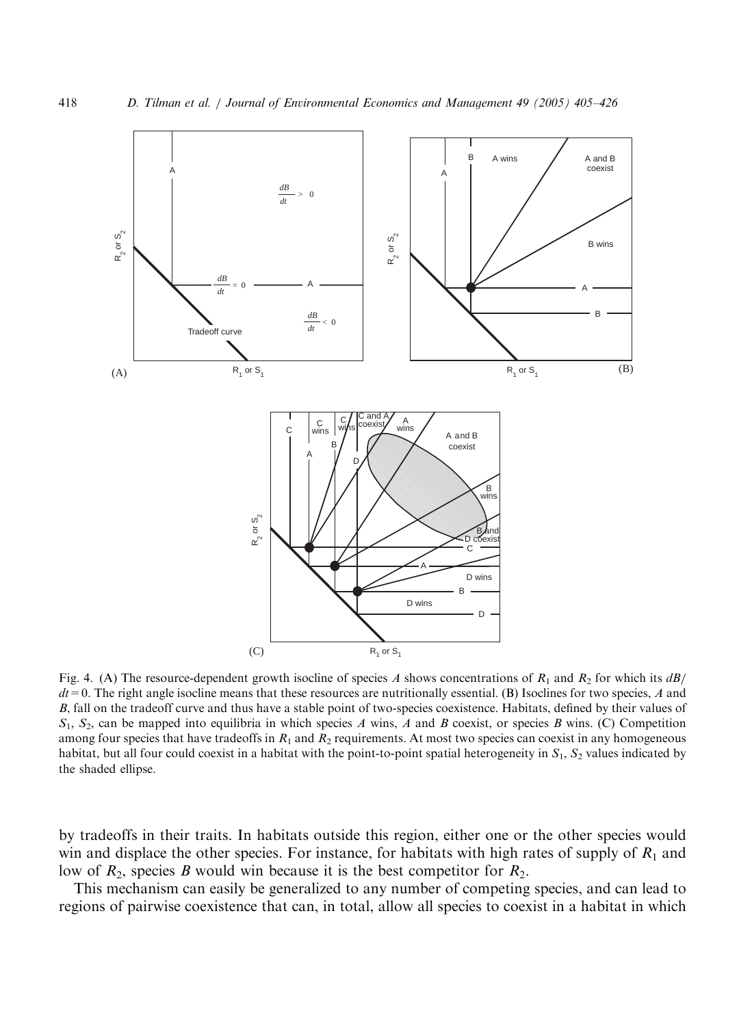<span id="page-13-0"></span>

Fig. 4. (A) The resource-dependent growth isocline of species A shows concentrations of  $R_1$  and  $R_2$  for which its  $dB$ /  $dt=0$ . The right angle isocline means that these resources are nutritionally essential. (B) Isoclines for two species, A and B, fall on the tradeoff curve and thus have a stable point of two-species coexistence. Habitats, defined by their values of  $S_1$ ,  $S_2$ , can be mapped into equilibria in which species A wins, A and B coexist, or species B wins. (C) Competition among four species that have tradeoffs in  $R_1$  and  $R_2$  requirements. At most two species can coexist in any homogeneous habitat, but all four could coexist in a habitat with the point-to-point spatial heterogeneity in  $S_1$ ,  $S_2$  values indicated by the shaded ellipse.

by tradeoffs in their traits. In habitats outside this region, either one or the other species would win and displace the other species. For instance, for habitats with high rates of supply of  $R_1$  and low of  $R_2$ , species B would win because it is the best competitor for  $R_2$ .

This mechanism can easily be generalized to any number of competing species, and can lead to regions of pairwise coexistence that can, in total, allow all species to coexist in a habitat in which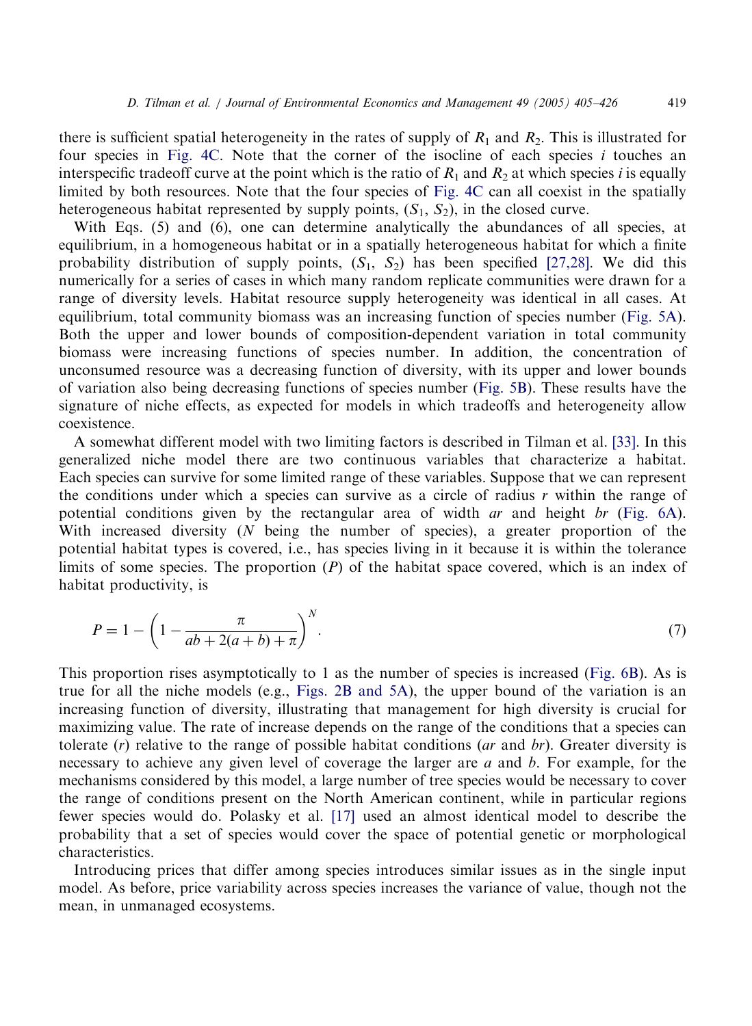there is sufficient spatial heterogeneity in the rates of sup[ply of](#page-13-0)  $R_1$  and  $R_2$ . This is illustrated for four species in Fig. 4C. Note that the corner of the isocline of each species  $i$  touches an interspecific tradeoff curve at the point which is the ratio of  $R_1$  and  $R_2$  at which species i is equally limited by both resources. Note that the four species of Fig. 4C can all coexist in the spatially heterogeneous habitat represented by supply points,  $(S_1, S_2)$ , in the closed [curve.](#page-20-0)

With Eqs. (5) and (6), one can determine analytically the abundances of all species, at equilibrium, in a homogeneous habitat or in a spatially heterogeneous habitat for which a finite probability distribution of supply points,  $(S_1, S_2)$  has been specified [27,28]. We [did thi](#page-15-0)s numerically for a series of cases in which many random replicate communities were drawn for a range of diversity levels. Habitat resource supply heterogeneity was identical in all cases. At equilibrium, total community biomass was an increasing function of species number (Fig. 5A). Both the upper and lower bounds of composition-dependen[t variati](#page-15-0)on in total community biomass were increasing functions of species number. In addition, the concentration of unconsumed resource was a decreasing function of diversity, with its upper and lower bounds of variation also being decreasing functions of species number (Fig. 5B). These resu[lts h](#page-20-0)ave the signature of niche effects, as expected for models in which tradeoffs and heterogeneity allow coexistence.

A somewhat different model with two limiting factors is described in Tilman et al. [33]. In this generalized niche model there are two continuous variables that characterize [a habita](#page-16-0)t. Each species can survive for some limited range of these variables. Suppose that we can represent the conditions under which a species can survive as a circle of radius  $r$  within the range of potential conditions given by the rectangular area of width  $ar$  and height  $br$  (Fig. 6A). With increased diversity  $(N$  being the number of species), a greater proportion of the potential habitat types is covered, i.e., has species living in it because it is within the tolerance limits of some species. The proportion  $(P)$  of the habitat space covered, which is an index of habitat productivity, is

$$
P = 1 - \left(1 - \frac{\pi}{ab + 2(a + b) + \pi}\right)^{N}.
$$
\n(7)

This proportion rises asymptotically to 1 as the number of species is increased (Fig. 6B). As is true for all the niche models (e.g., Figs. 2B and 5A), the upper bound of the variation is an increasing function of diversity, illustrating that management for high diversity is crucial for maximizing value. The rate of increase depends on the range of the conditions that a species can tolerate  $(r)$  relative to the range of possible habitat conditions (*ar* and *br*). Greater diversity is necessary to achieve any given level of c[over](#page-20-0)age the larger are  $a$  and  $b$ . For example, for the mechanisms considered by this model, a large number of tree species would be necessary to cover the range of conditions present on the North American continent, while in particular regions fewer species would do. Polasky et al. [17] used an almost identical model to describe the probability that a set of species would cover the space of potential genetic or morphological characteristics.

Introducing prices that differ among species introduces similar issues as in the single input model. As before, price variability across species increases the variance of value, though not the mean, in unmanaged ecosystems.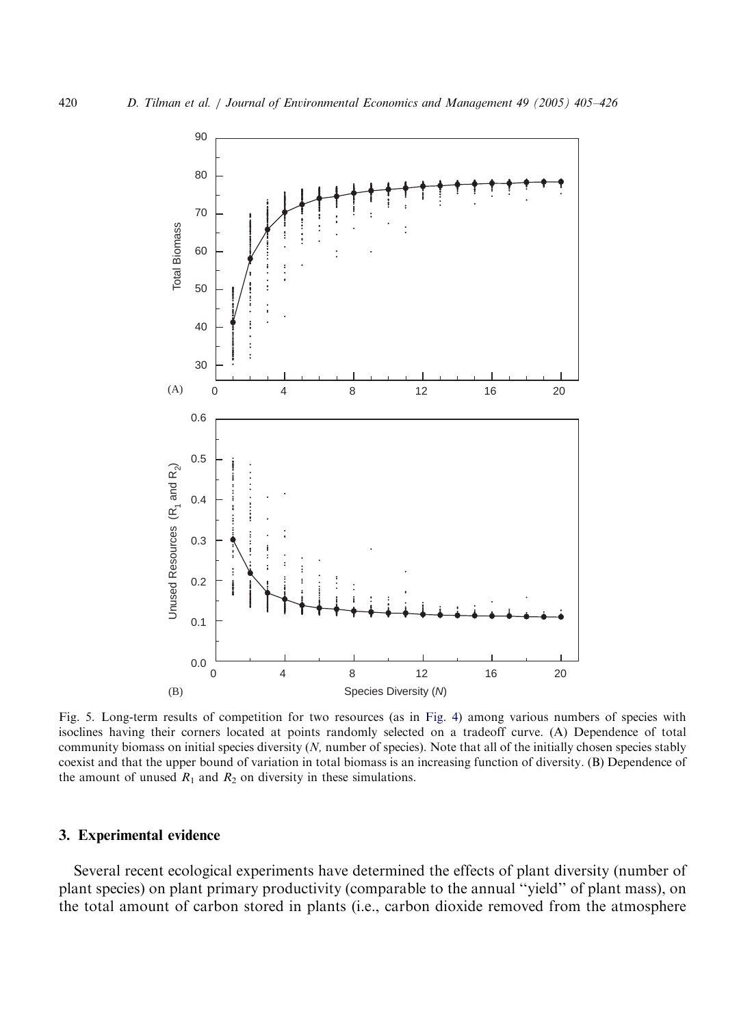

Fig. 5. Long-term results of competition for two resources (as in Fig. 4) among various numbers of species with isoclines having their corners located at points randomly selected on a tradeoff curve. (A) Dependence of total community biomass on initial species diversity (N, number of species). Note that all of the initially chosen species stably coexist and that the upper bound of variation in total biomass is an increasing function of diversity. (B) Dependence of the amount of unused  $R_1$  and  $R_2$  on diversity in these simulations.

## 3. Experimental evidence

Several recent ecological experiments have determined the effects of plant diversity (number of plant species) on plant primary productivity (comparable to the annual ''yield'' of plant mass), on the total amount of carbon stored in plants (i.e., carbon dioxide removed from the atmosphere

<span id="page-15-0"></span>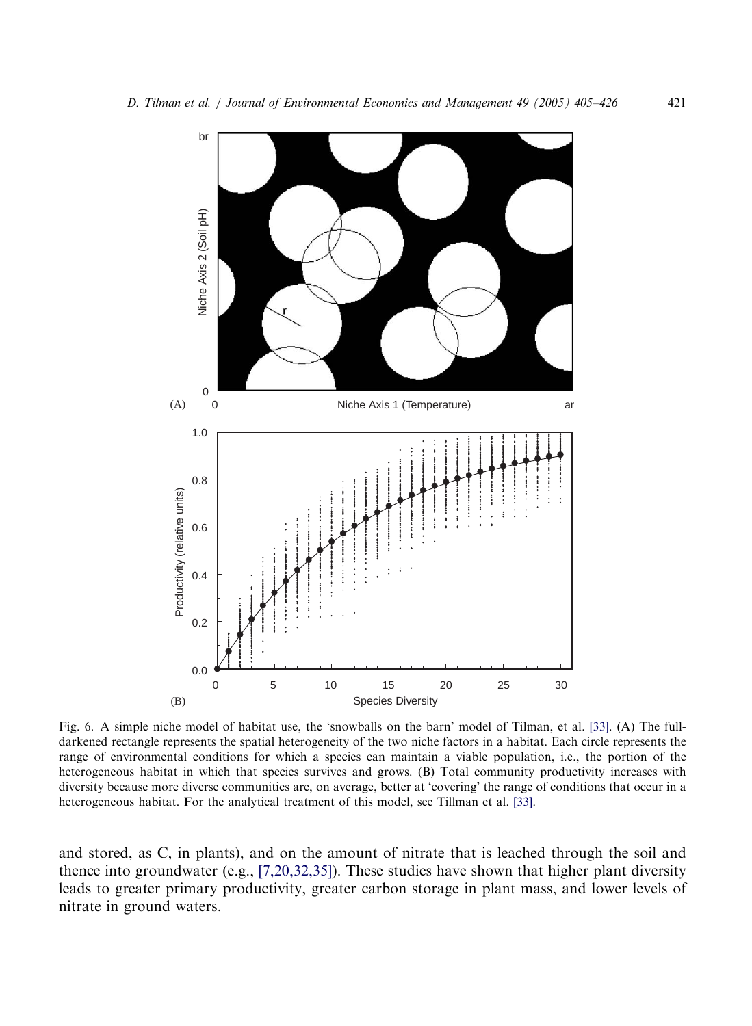<span id="page-16-0"></span>

Fig. 6. A simple niche model of habitat use, the 'snowballs on the barn' model of Tilman, et al. [33]. (A) The fulldarkened rectangle represents the spatial heterogeneity of the two niche factors in a habitat. Each circle represents the range of environmental conditions for which a species can maintain a viable po[pulat](#page-20-0)ion, i.e., the portion of the heterogeneous habitat in which that species survives and grows. (B) Total community productivity increases with diversity because more diverse communities are, on average, better at 'covering' the range of conditions that occur in a heterogeneous habitat. For the analytical treatment of this model, see Tillman et al. [33].

and stored, as C, in plants), and on the amount of nitrate that is leached through the soil and thence into groundwater (e.g., [7,20,32,35]). These studies have shown that higher plant diversity leads to greater primary productivity, greater carbon storage in plant mass, and lower levels of nitrate in ground waters.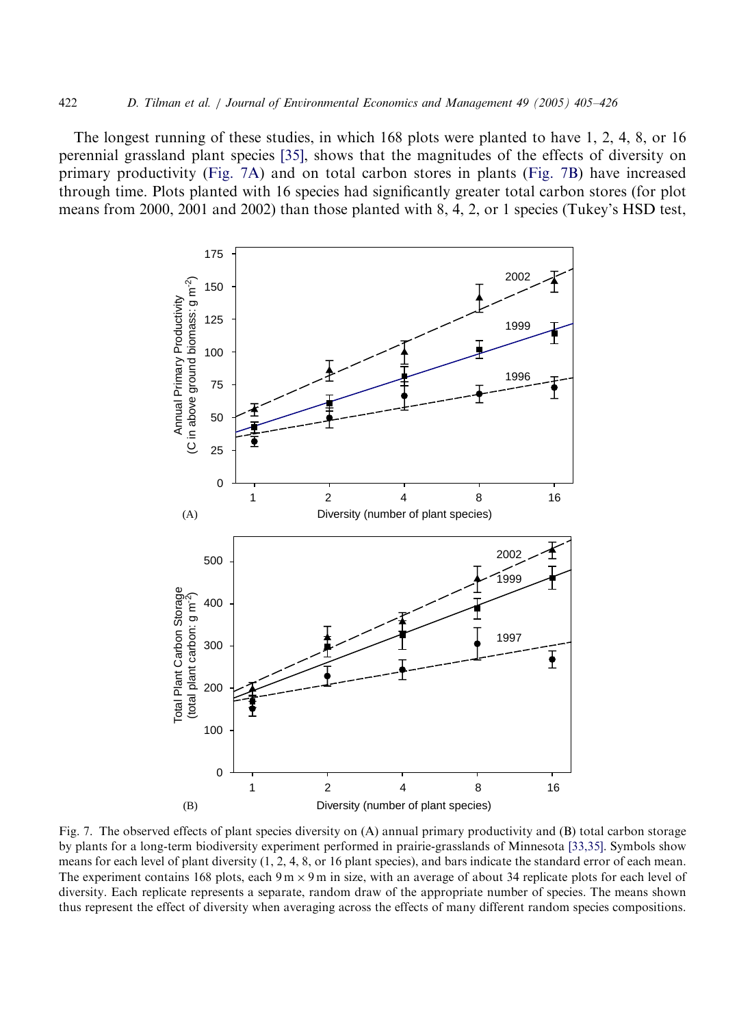The longest running of these studies, in which 168 plots were planted to have 1, 2, 4, 8, or 16 perennial grassland plant species [35], shows that the magnitudes of the effects of diversity on primary productivity (Fig. 7A) and on total carbon stores in plants (Fig. 7B) have increased through time. Plots planted with 16 species had significantly greater total carbon stores (for plot means from 2000, 2001 and 2002) than those planted with 8, 4, 2, or 1 species (Tukey's HSD test,



Fig. 7. The observed effects of plant species diversity on (A) annual primary productivity and (B) total carbon storage by plants for a long-term biodiversity experiment performed in prairie-grasslands of Minnesota [33,35]. Symbols show means for each level of plant diversity (1, 2, 4, 8, or 16 plant species), and bars indicate the standard error of each mean. The experiment contains 168 plots, each  $9 \text{ m} \times 9 \text{ m}$  in size, with an average of about 34 replicate plots for each level of diversity. Each replicate represents a separate, random draw of the appropriate number of species. The means shown thus represent the effect of diversity when averaging across the effects of many different random species compositions.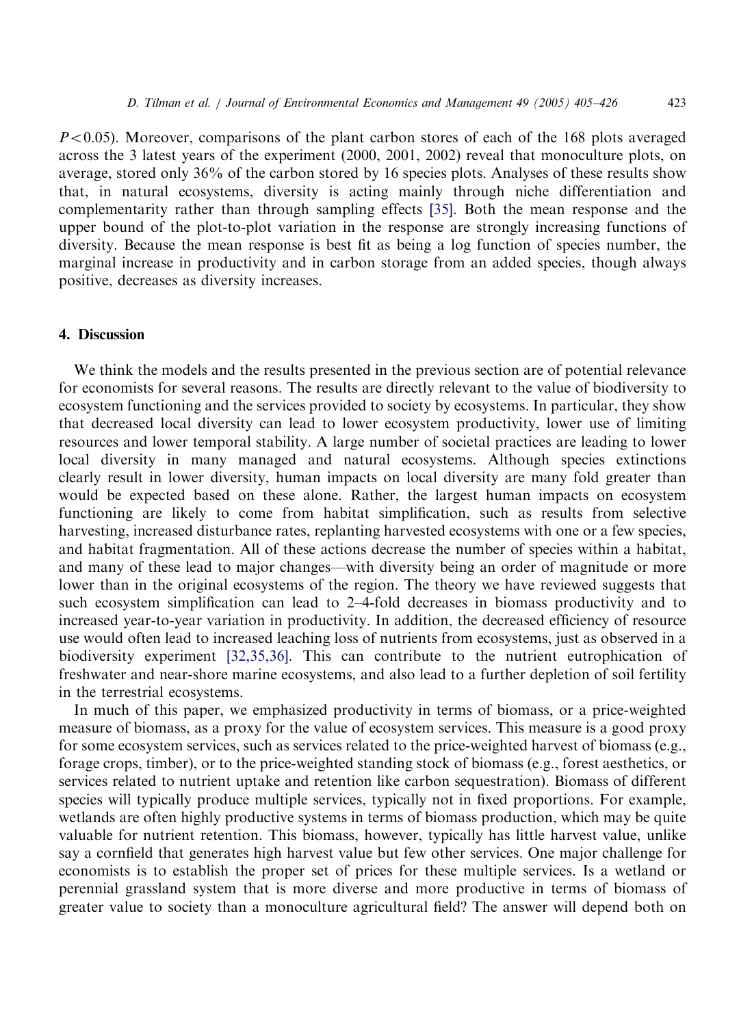$P<0.05$ ). Moreover, comparisons of the plant carbon stores of each of the 168 plots averaged across the 3 latest years of the experiment (2000, 2001, [2002](#page-20-0)) reveal that monoculture plots, on average, stored only 36% of the carbon stored by 16 species plots. Analyses of these results show that, in natural ecosystems, diversity is acting mainly through niche differentiation and complementarity rather than through sampling effects [35]. Both the mean response and the upper bound of the plot-to-plot variation in the response are strongly increasing functions of diversity. Because the mean response is best fit as being a log function of species number, the marginal increase in productivity and in carbon storage from an added species, though always positive, decreases as diversity increases.

# 4. Discussion

We think the models and the results presented in the previous section are of potential relevance for economists for several reasons. The results are directly relevant to the value of biodiversity to ecosystem functioning and the services provided to society by ecosystems. In particular, they show that decreased local diversity can lead to lower ecosystem productivity, lower use of limiting resources and lower temporal stability. A large number of societal practices are leading to lower local diversity in many managed and natural ecosystems. Although species extinctions clearly result in lower diversity, human impacts on local diversity are many fold greater than would be expected based on these alone. Rather, the largest human impacts on ecosystem functioning are likely to come from habitat simplification, such as results from selective harvesting, increased disturbance rates, replanting harvested ecosystems with one or a few species, and habitat fragmentation. All of these actions decrease the number of species within a habitat, and many of these lead to major changes––with diversity being an order of magnitude or more lower than in the original ecosystems of the region. The theory we have reviewed suggests that such ecosystem simplific[ation can](#page-20-0) lead to 2–4-fold decreases in biomass productivity and to increased year-to-year variation in productivity. In addition, the decreased efficiency of resource use would often lead to increased leaching loss of nutrients from ecosystems, just as observed in a biodiversity experiment [32,35,36]. This can contribute to the nutrient eutrophication of freshwater and near-shore marine ecosystems, and also lead to a further depletion of soil fertility in the terrestrial ecosystems.

In much of this paper, we emphasized productivity in terms of biomass, or a price-weighted measure of biomass, as a proxy for the value of ecosystem services. This measure is a good proxy for some ecosystem services, such as services related to the price-weighted harvest of biomass (e.g., forage crops, timber), or to the price-weighted standing stock of biomass (e.g., forest aesthetics, or services related to nutrient uptake and retention like carbon sequestration). Biomass of different species will typically produce multiple services, typically not in fixed proportions. For example, wetlands are often highly productive systems in terms of biomass production, which may be quite valuable for nutrient retention. This biomass, however, typically has little harvest value, unlike say a cornfield that generates high harvest value but few other services. One major challenge for economists is to establish the proper set of prices for these multiple services. Is a wetland or perennial grassland system that is more diverse and more productive in terms of biomass of greater value to society than a monoculture agricultural field? The answer will depend both on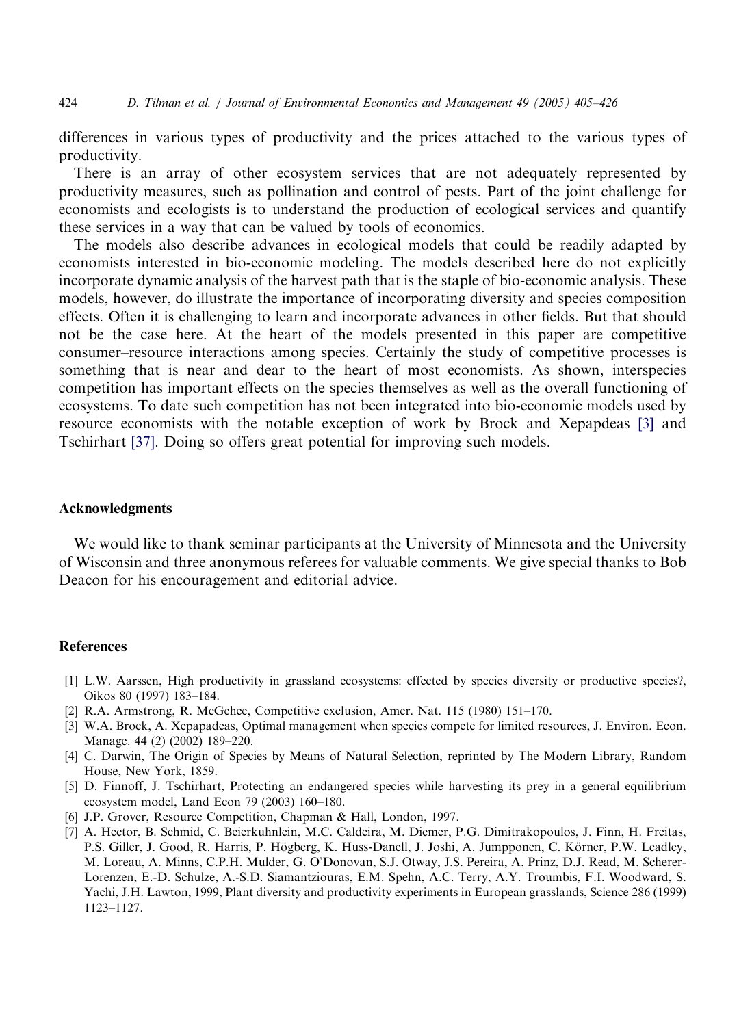<span id="page-19-0"></span>differences in various types of productivity and the prices attached to the various types of productivity.

There is an array of other ecosystem services that are not adequately represented by productivity measures, such as pollination and control of pests. Part of the joint challenge for economists and ecologists is to understand the production of ecological services and quantify these services in a way that can be valued by tools of economics.

The models also describe advances in ecological models that could be readily adapted by economists interested in bio-economic modeling. The models described here do not explicitly incorporate dynamic analysis of the harvest path that is the staple of bio-economic analysis. These models, however, do illustrate the importance of incorporating diversity and species composition effects. Often it is challenging to learn and incorporate advances in other fields. But that should not be the case here. At the heart of the models presented in this paper are competitive consumer–resource interactions among species. Certainly the study of competitive processes is something that is near and dear to the heart of most economists. As shown, interspecies competitio[n ha](#page-21-0)s important effects on the species themselves as well as the overall functioning of ecosystems. To date such competition has not been integrated into bio-economic models used by resource economists with the notable exception of work by Brock and Xepapdeas [3] and Tschirhart [37]. Doing so offers great potential for improving such models.

#### Acknowledgments

We would like to thank seminar participants at the University of Minnesota and the University of Wisconsin and three anonymous referees for valuable comments. We give special thanks to Bob Deacon for his encouragement and editorial advice.

## References

- [1] L.W. Aarssen, High productivity in grassland ecosystems: effected by species diversity or productive species?, Oikos 80 (1997) 183–184.
- [2] R.A. Armstrong, R. McGehee, Competitive exclusion, Amer. Nat. 115 (1980) 151–170.
- [3] W.A. Brock, A. Xepapadeas, Optimal management when species compete for limited resources, J. Environ. Econ. Manage. 44 (2) (2002) 189–220.
- [4] C. Darwin, The Origin of Species by Means of Natural Selection, reprinted by The Modern Library, Random House, New York, 1859.
- [5] D. Finnoff, J. Tschirhart, Protecting an endangered species while harvesting its prey in a general equilibrium ecosystem model, Land Econ 79 (2003) 160–180.
- [6] J.P. Grover, Resource Competition, Chapman & Hall, London, 1997.
- [7] A. Hector, B. Schmid, C. Beierkuhnlein, M.C. Caldeira, M. Diemer, P.G. Dimitrakopoulos, J. Finn, H. Freitas, P.S. Giller, J. Good, R. Harris, P. Högberg, K. Huss-Danell, J. Joshi, A. Jumpponen, C. Körner, P.W. Leadley, M. Loreau, A. Minns, C.P.H. Mulder, G. O'Donovan, S.J. Otway, J.S. Pereira, A. Prinz, D.J. Read, M. Scherer-Lorenzen, E.-D. Schulze, A.-S.D. Siamantziouras, E.M. Spehn, A.C. Terry, A.Y. Troumbis, F.I. Woodward, S. Yachi, J.H. Lawton, 1999, Plant diversity and productivity experiments in European grasslands, Science 286 (1999) 1123–1127.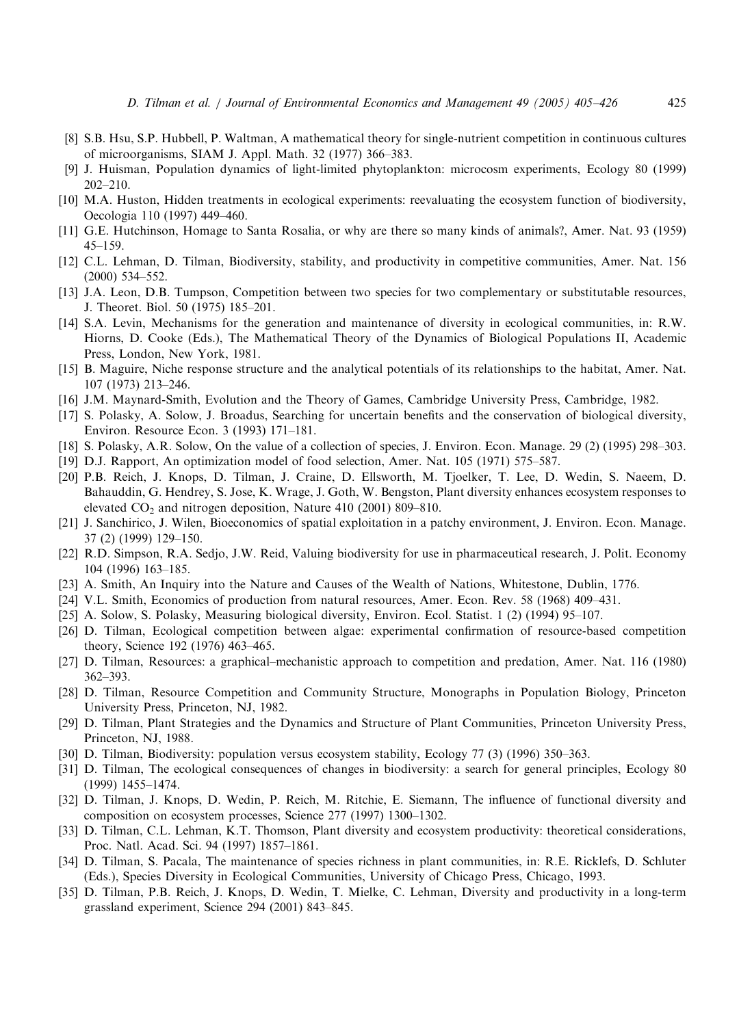- <span id="page-20-0"></span>[8] S.B. Hsu, S.P. Hubbell, P. Waltman, A mathematical theory for single-nutrient competition in continuous cultures of microorganisms, SIAM J. Appl. Math. 32 (1977) 366–383.
- [9] J. Huisman, Population dynamics of light-limited phytoplankton: microcosm experiments, Ecology 80 (1999) 202–210.
- [10] M.A. Huston, Hidden treatments in ecological experiments: reevaluating the ecosystem function of biodiversity, Oecologia 110 (1997) 449–460.
- [11] G.E. Hutchinson, Homage to Santa Rosalia, or why are there so many kinds of animals?, Amer. Nat. 93 (1959) 45–159.
- [12] C.L. Lehman, D. Tilman, Biodiversity, stability, and productivity in competitive communities, Amer. Nat. 156 (2000) 534–552.
- [13] J.A. Leon, D.B. Tumpson, Competition between two species for two complementary or substitutable resources, J. Theoret. Biol. 50 (1975) 185–201.
- [14] S.A. Levin, Mechanisms for the generation and maintenance of diversity in ecological communities, in: R.W. Hiorns, D. Cooke (Eds.), The Mathematical Theory of the Dynamics of Biological Populations II, Academic Press, London, New York, 1981.
- [15] B. Maguire, Niche response structure and the analytical potentials of its relationships to the habitat, Amer. Nat. 107 (1973) 213–246.
- [16] J.M. Maynard-Smith, Evolution and the Theory of Games, Cambridge University Press, Cambridge, 1982.
- [17] S. Polasky, A. Solow, J. Broadus, Searching for uncertain benefits and the conservation of biological diversity, Environ. Resource Econ. 3 (1993) 171–181.
- [18] S. Polasky, A.R. Solow, On the value of a collection of species, J. Environ. Econ. Manage. 29 (2) (1995) 298–303.
- [19] D.J. Rapport, An optimization model of food selection, Amer. Nat. 105 (1971) 575–587.
- [20] P.B. Reich, J. Knops, D. Tilman, J. Craine, D. Ellsworth, M. Tjoelker, T. Lee, D. Wedin, S. Naeem, D. Bahauddin, G. Hendrey, S. Jose, K. Wrage, J. Goth, W. Bengston, Plant diversity enhances ecosystem responses to elevated  $CO<sub>2</sub>$  and nitrogen deposition, Nature 410 (2001) 809–810.
- [21] J. Sanchirico, J. Wilen, Bioeconomics of spatial exploitation in a patchy environment, J. Environ. Econ. Manage. 37 (2) (1999) 129–150.
- [22] R.D. Simpson, R.A. Sedjo, J.W. Reid, Valuing biodiversity for use in pharmaceutical research, J. Polit. Economy 104 (1996) 163–185.
- [23] A. Smith, An Inquiry into the Nature and Causes of the Wealth of Nations, Whitestone, Dublin, 1776.
- [24] V.L. Smith, Economics of production from natural resources, Amer. Econ. Rev. 58 (1968) 409–431.
- [25] A. Solow, S. Polasky, Measuring biological diversity, Environ. Ecol. Statist. 1 (2) (1994) 95–107.
- [26] D. Tilman, Ecological competition between algae: experimental confirmation of resource-based competition theory, Science 192 (1976) 463–465.
- [27] D. Tilman, Resources: a graphical–mechanistic approach to competition and predation, Amer. Nat. 116 (1980) 362–393.
- [28] D. Tilman, Resource Competition and Community Structure, Monographs in Population Biology, Princeton University Press, Princeton, NJ, 1982.
- [29] D. Tilman, Plant Strategies and the Dynamics and Structure of Plant Communities, Princeton University Press, Princeton, NJ, 1988.
- [30] D. Tilman, Biodiversity: population versus ecosystem stability, Ecology 77 (3) (1996) 350–363.
- [31] D. Tilman, The ecological consequences of changes in biodiversity: a search for general principles, Ecology 80 (1999) 1455–1474.
- [32] D. Tilman, J. Knops, D. Wedin, P. Reich, M. Ritchie, E. Siemann, The influence of functional diversity and composition on ecosystem processes, Science 277 (1997) 1300–1302.
- [33] D. Tilman, C.L. Lehman, K.T. Thomson, Plant diversity and ecosystem productivity: theoretical considerations, Proc. Natl. Acad. Sci. 94 (1997) 1857–1861.
- [34] D. Tilman, S. Pacala, The maintenance of species richness in plant communities, in: R.E. Ricklefs, D. Schluter (Eds.), Species Diversity in Ecological Communities, University of Chicago Press, Chicago, 1993.
- [35] D. Tilman, P.B. Reich, J. Knops, D. Wedin, T. Mielke, C. Lehman, Diversity and productivity in a long-term grassland experiment, Science 294 (2001) 843–845.